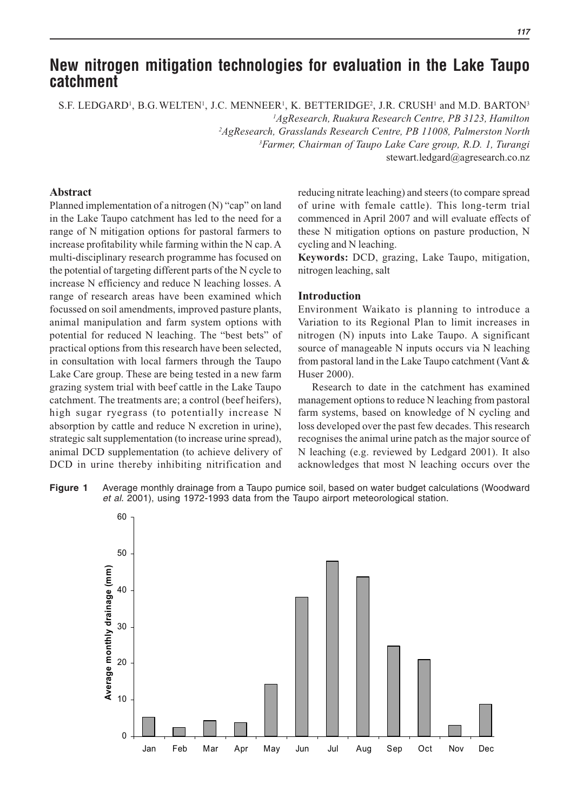# **New nitrogen mitigation technologies for evaluation in the Lake Taupo catchment**

S.F. LEDGARD<sup>1</sup>, B.G. WELTEN<sup>1</sup>, J.C. MENNEER<sup>1</sup>, K. BETTERIDGE<sup>2</sup>, J.R. CRUSH<sup>1</sup> and M.D. BARTON<sup>3</sup>

*1 AgResearch, Ruakura Research Centre, PB 3123, Hamilton*

*2 AgResearch, Grasslands Research Centre, PB 11008, Palmerston North*

*3 Farmer, Chairman of Taupo Lake Care group, R.D. 1, Turangi*

stewart.ledgard@agresearch.co.nz

# **Abstract**

Planned implementation of a nitrogen (N) "cap" on land in the Lake Taupo catchment has led to the need for a range of N mitigation options for pastoral farmers to increase profitability while farming within the N cap. A multi-disciplinary research programme has focused on the potential of targeting different parts of the N cycle to increase N efficiency and reduce N leaching losses. A range of research areas have been examined which focussed on soil amendments, improved pasture plants, animal manipulation and farm system options with potential for reduced N leaching. The "best bets" of practical options from this research have been selected, in consultation with local farmers through the Taupo Lake Care group. These are being tested in a new farm grazing system trial with beef cattle in the Lake Taupo catchment. The treatments are; a control (beef heifers), high sugar ryegrass (to potentially increase N absorption by cattle and reduce N excretion in urine), strategic salt supplementation (to increase urine spread), animal DCD supplementation (to achieve delivery of DCD in urine thereby inhibiting nitrification and

reducing nitrate leaching) and steers (to compare spread of urine with female cattle). This long-term trial commenced in April 2007 and will evaluate effects of these N mitigation options on pasture production, N cycling and N leaching.

**Keywords:** DCD, grazing, Lake Taupo, mitigation, nitrogen leaching, salt

## **Introduction**

Environment Waikato is planning to introduce a Variation to its Regional Plan to limit increases in nitrogen (N) inputs into Lake Taupo. A significant source of manageable N inputs occurs via N leaching from pastoral land in the Lake Taupo catchment (Vant & Huser 2000).

 Research to date in the catchment has examined management options to reduce N leaching from pastoral farm systems, based on knowledge of N cycling and loss developed over the past few decades. This research recognises the animal urine patch as the major source of N leaching (e.g. reviewed by Ledgard 2001). It also acknowledges that most N leaching occurs over the



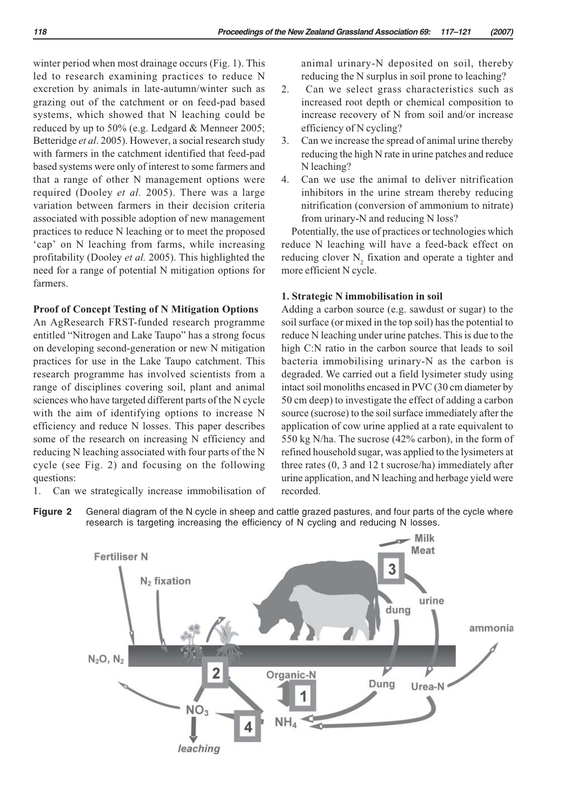winter period when most drainage occurs (Fig. 1). This led to research examining practices to reduce N excretion by animals in late-autumn/winter such as grazing out of the catchment or on feed-pad based systems, which showed that N leaching could be reduced by up to 50% (e.g. Ledgard & Menneer 2005; Betteridge *et al*. 2005). However, a social research study with farmers in the catchment identified that feed-pad based systems were only of interest to some farmers and that a range of other N management options were required (Dooley *et al.* 2005). There was a large variation between farmers in their decision criteria associated with possible adoption of new management practices to reduce N leaching or to meet the proposed 'cap' on N leaching from farms, while increasing profitability (Dooley *et al.* 2005). This highlighted the need for a range of potential N mitigation options for farmers.

## **Proof of Concept Testing of N Mitigation Options**

An AgResearch FRST-funded research programme entitled "Nitrogen and Lake Taupo" has a strong focus on developing second-generation or new N mitigation practices for use in the Lake Taupo catchment. This research programme has involved scientists from a range of disciplines covering soil, plant and animal sciences who have targeted different parts of the N cycle with the aim of identifying options to increase N efficiency and reduce N losses. This paper describes some of the research on increasing N efficiency and reducing N leaching associated with four parts of the N cycle (see Fig. 2) and focusing on the following questions:

1. Can we strategically increase immobilisation of

animal urinary-N deposited on soil, thereby reducing the N surplus in soil prone to leaching?

- 2. Can we select grass characteristics such as increased root depth or chemical composition to increase recovery of N from soil and/or increase efficiency of N cycling?
- 3. Can we increase the spread of animal urine thereby reducing the high N rate in urine patches and reduce N leaching?
- 4. Can we use the animal to deliver nitrification inhibitors in the urine stream thereby reducing nitrification (conversion of ammonium to nitrate) from urinary-N and reducing N loss?

Potentially, the use of practices or technologies which reduce N leaching will have a feed-back effect on reducing clover  $N_2$  fixation and operate a tighter and more efficient N cycle.

### **1. Strategic N immobilisation in soil**

Adding a carbon source (e.g. sawdust or sugar) to the soil surface (or mixed in the top soil) has the potential to reduce N leaching under urine patches. This is due to the high C:N ratio in the carbon source that leads to soil bacteria immobilising urinary-N as the carbon is degraded. We carried out a field lysimeter study using intact soil monoliths encased in PVC (30 cm diameter by 50 cm deep) to investigate the effect of adding a carbon source (sucrose) to the soil surface immediately after the application of cow urine applied at a rate equivalent to 550 kg N/ha. The sucrose (42% carbon), in the form of refined household sugar, was applied to the lysimeters at three rates (0, 3 and 12 t sucrose/ha) immediately after urine application, and N leaching and herbage yield were recorded.

**Figure 2** General diagram of the N cycle in sheep and cattle grazed pastures, and four parts of the cycle where research is targeting increasing the efficiency of N cycling and reducing N losses.

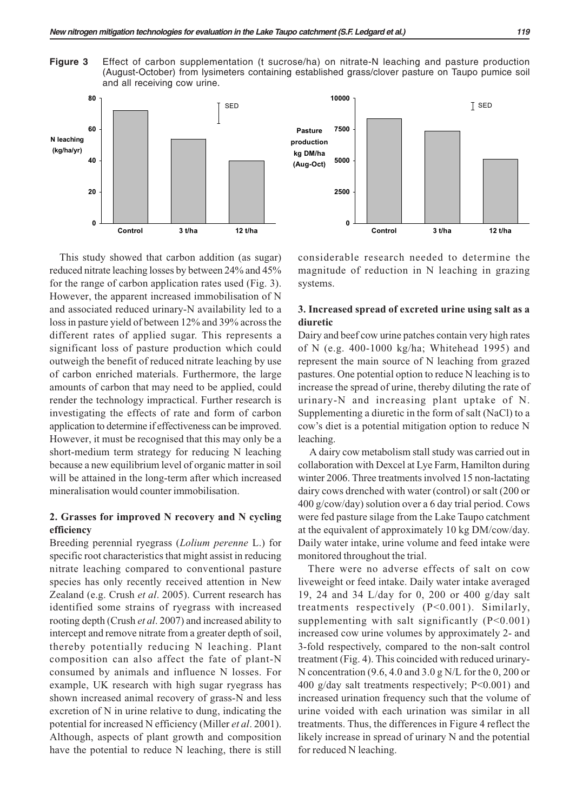**Figure 3** Effect of carbon supplementation (t sucrose/ha) on nitrate-N leaching and pasture production (August-October) from lysimeters containing established grass/clover pasture on Taupo pumice soil and all receiving cow urine.



This study showed that carbon addition (as sugar) reduced nitrate leaching losses by between 24% and 45% for the range of carbon application rates used (Fig. 3). However, the apparent increased immobilisation of N and associated reduced urinary-N availability led to a loss in pasture yield of between 12% and 39% across the different rates of applied sugar. This represents a significant loss of pasture production which could outweigh the benefit of reduced nitrate leaching by use of carbon enriched materials. Furthermore, the large amounts of carbon that may need to be applied, could render the technology impractical. Further research is investigating the effects of rate and form of carbon application to determine if effectiveness can be improved. However, it must be recognised that this may only be a short-medium term strategy for reducing N leaching because a new equilibrium level of organic matter in soil will be attained in the long-term after which increased mineralisation would counter immobilisation.

## **2. Grasses for improved N recovery and N cycling efficiency**

Breeding perennial ryegrass (*Lolium perenne* L.) for specific root characteristics that might assist in reducing nitrate leaching compared to conventional pasture species has only recently received attention in New Zealand (e.g. Crush *et al*. 2005). Current research has identified some strains of ryegrass with increased rooting depth (Crush *et al*. 2007) and increased ability to intercept and remove nitrate from a greater depth of soil, thereby potentially reducing N leaching. Plant composition can also affect the fate of plant-N consumed by animals and influence N losses. For example, UK research with high sugar ryegrass has shown increased animal recovery of grass-N and less excretion of N in urine relative to dung, indicating the potential for increased N efficiency (Miller *et al*. 2001). Although, aspects of plant growth and composition have the potential to reduce N leaching, there is still considerable research needed to determine the magnitude of reduction in N leaching in grazing systems.

# **3. Increased spread of excreted urine using salt as a diuretic**

Dairy and beef cow urine patches contain very high rates of N (e.g. 400-1000 kg/ha; Whitehead 1995) and represent the main source of N leaching from grazed pastures. One potential option to reduce N leaching is to increase the spread of urine, thereby diluting the rate of urinary-N and increasing plant uptake of N. Supplementing a diuretic in the form of salt (NaCl) to a cow's diet is a potential mitigation option to reduce N leaching.

 A dairy cow metabolism stall study was carried out in collaboration with Dexcel at Lye Farm, Hamilton during winter 2006. Three treatments involved 15 non-lactating dairy cows drenched with water (control) or salt (200 or 400 g/cow/day) solution over a 6 day trial period. Cows were fed pasture silage from the Lake Taupo catchment at the equivalent of approximately 10 kg DM/cow/day. Daily water intake, urine volume and feed intake were monitored throughout the trial.

There were no adverse effects of salt on cow liveweight or feed intake. Daily water intake averaged 19, 24 and 34 L/day for 0, 200 or 400 g/day salt treatments respectively (P<0.001). Similarly, supplementing with salt significantly (P<0.001) increased cow urine volumes by approximately 2- and 3-fold respectively, compared to the non-salt control treatment (Fig. 4). This coincided with reduced urinary-N concentration (9.6, 4.0 and 3.0 g N/L for the 0, 200 or 400 g/day salt treatments respectively;  $P < 0.001$ ) and increased urination frequency such that the volume of urine voided with each urination was similar in all treatments. Thus, the differences in Figure 4 reflect the likely increase in spread of urinary N and the potential for reduced N leaching.

SED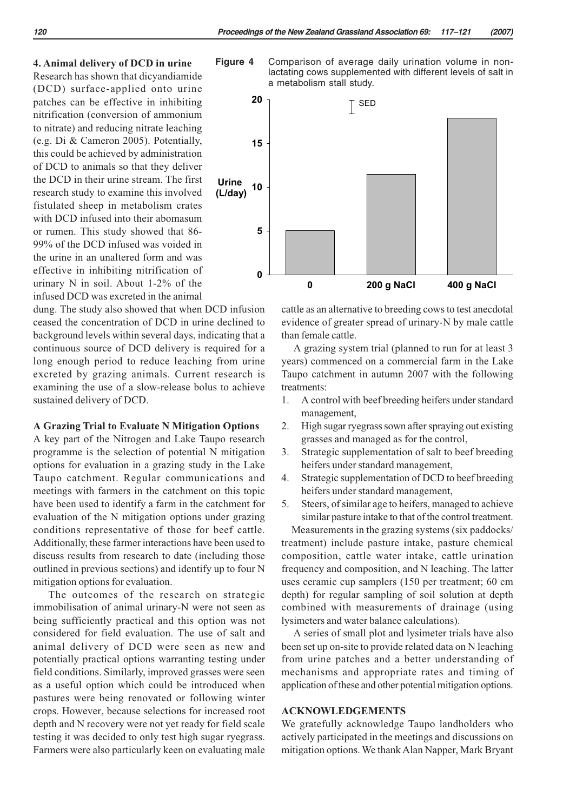#### **4. Animal delivery of DCD in urine**

Research has shown that dicyandiamide (DCD) surface-applied onto urine patches can be effective in inhibiting nitrification (conversion of ammonium to nitrate) and reducing nitrate leaching (e.g. Di & Cameron 2005). Potentially, this could be achieved by administration of DCD to animals so that they deliver the DCD in their urine stream. The first research study to examine this involved fistulated sheep in metabolism crates with DCD infused into their abomasum or rumen. This study showed that 86- 99% of the DCD infused was voided in the urine in an unaltered form and was effective in inhibiting nitrification of urinary N in soil. About 1-2% of the infused DCD was excreted in the animal

dung. The study also showed that when DCD infusion ceased the concentration of DCD in urine declined to background levels within several days, indicating that a continuous source of DCD delivery is required for a long enough period to reduce leaching from urine excreted by grazing animals. Current research is examining the use of a slow-release bolus to achieve sustained delivery of DCD.

#### **A Grazing Trial to Evaluate N Mitigation Options**

A key part of the Nitrogen and Lake Taupo research programme is the selection of potential N mitigation options for evaluation in a grazing study in the Lake Taupo catchment. Regular communications and meetings with farmers in the catchment on this topic have been used to identify a farm in the catchment for evaluation of the N mitigation options under grazing conditions representative of those for beef cattle. Additionally, these farmer interactions have been used to discuss results from research to date (including those outlined in previous sections) and identify up to four N mitigation options for evaluation.

 The outcomes of the research on strategic immobilisation of animal urinary-N were not seen as being sufficiently practical and this option was not considered for field evaluation. The use of salt and animal delivery of DCD were seen as new and potentially practical options warranting testing under field conditions. Similarly, improved grasses were seen as a useful option which could be introduced when pastures were being renovated or following winter crops. However, because selections for increased root depth and N recovery were not yet ready for field scale testing it was decided to only test high sugar ryegrass. Farmers were also particularly keen on evaluating male

**Figure 4** Comparison of average daily urination volume in nonlactating cows supplemented with different levels of salt in a metabolism stall study.



cattle as an alternative to breeding cows to test anecdotal evidence of greater spread of urinary-N by male cattle than female cattle.

 A grazing system trial (planned to run for at least 3 years) commenced on a commercial farm in the Lake Taupo catchment in autumn 2007 with the following treatments:

- 1. A control with beef breeding heifers under standard management,
- 2. High sugar ryegrass sown after spraying out existing grasses and managed as for the control,
- 3. Strategic supplementation of salt to beef breeding heifers under standard management,
- 4. Strategic supplementation of DCD to beef breeding heifers under standard management,
- 5. Steers, of similar age to heifers, managed to achieve similar pasture intake to that of the control treatment.

Measurements in the grazing systems (six paddocks/ treatment) include pasture intake, pasture chemical composition, cattle water intake, cattle urination frequency and composition, and N leaching. The latter uses ceramic cup samplers (150 per treatment; 60 cm depth) for regular sampling of soil solution at depth combined with measurements of drainage (using lysimeters and water balance calculations).

 A series of small plot and lysimeter trials have also been set up on-site to provide related data on N leaching from urine patches and a better understanding of mechanisms and appropriate rates and timing of application of these and other potential mitigation options.

#### **ACKNOWLEDGEMENTS**

We gratefully acknowledge Taupo landholders who actively participated in the meetings and discussions on mitigation options. We thank Alan Napper, Mark Bryant